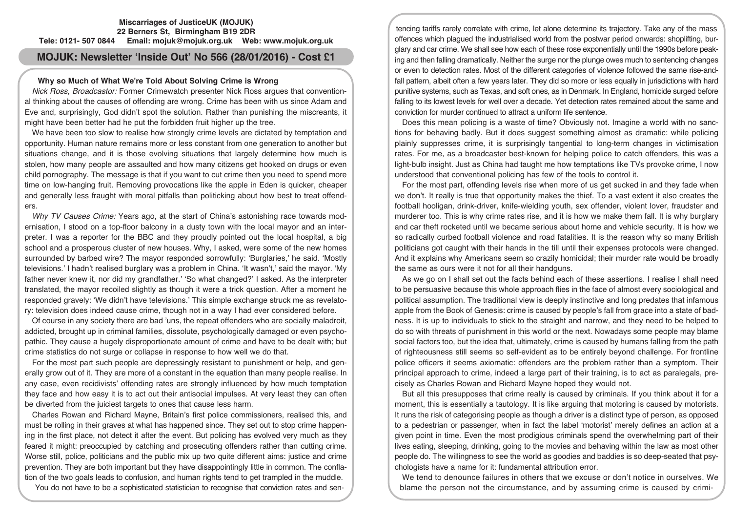### **Miscarriages of JusticeUK (MOJUK) 22 Berners St, Birmingham B19 2DR Tele: 0121- 507 0844 Email: mojuk@mojuk.org.uk Web: www.mojuk.org.uk**

**MOJUK: Newsletter 'Inside Out' No 566 (28/01/2016) - Cost £1**

# **Why so Much of What We're Told About Solving Crime is Wrong**

*Nick Ross, Broadcastor:* Former Crimewatch presenter Nick Ross argues that conventional thinking about the causes of offending are wrong. Crime has been with us since Adam and Eve and, surprisingly, God didn't spot the solution. Rather than punishing the miscreants, it might have been better had he put the forbidden fruit higher up the tree.

We have been too slow to realise how strongly crime levels are dictated by temptation and opportunity. Human nature remains more or less constant from one generation to another but situations change, and it is those evolving situations that largely determine how much is stolen, how many people are assaulted and how many citizens get hooked on drugs or even child pornography. The message is that if you want to cut crime then you need to spend more time on low-hanging fruit. Removing provocations like the apple in Eden is quicker, cheaper and generally less fraught with moral pitfalls than politicking about how best to treat offenders.

*Why TV Causes Crime:* Years ago, at the start of China's astonishing race towards modernisation, I stood on a top-floor balcony in a dusty town with the local mayor and an interpreter. I was a reporter for the BBC and they proudly pointed out the local hospital, a big school and a prosperous cluster of new houses. Why, I asked, were some of the new homes surrounded by barbed wire? The mayor responded sorrowfully: 'Burglaries,' he said. 'Mostly televisions.' I hadn't realised burglary was a problem in China. 'It wasn't,' said the mayor. 'My father never knew it, nor did my grandfather.' 'So what changed?' I asked. As the interpreter translated, the mayor recoiled slightly as though it were a trick question. After a moment he responded gravely: 'We didn't have televisions.' This simple exchange struck me as revelatory: television does indeed cause crime, though not in a way I had ever considered before.

Of course in any society there are bad 'uns, the repeat offenders who are socially maladroit, addicted, brought up in criminal families, dissolute, psychologically damaged or even psychopathic. They cause a hugely disproportionate amount of crime and have to be dealt with; but crime statistics do not surge or collapse in response to how well we do that.

For the most part such people are depressingly resistant to punishment or help, and generally grow out of it. They are more of a constant in the equation than many people realise. In any case, even recidivists' offending rates are strongly influenced by how much temptation they face and how easy it is to act out their antisocial impulses. At very least they can often be diverted from the juiciest targets to ones that cause less harm.

Charles Rowan and Richard Mayne, Britain's first police commissioners, realised this, and must be rolling in their graves at what has happened since. They set out to stop crime happening in the first place, not detect it after the event. But policing has evolved very much as they feared it might: preoccupied by catching and prosecuting offenders rather than cutting crime. Worse still, police, politicians and the public mix up two quite different aims: justice and crime prevention. They are both important but they have disappointingly little in common. The conflation of the two goals leads to confusion, and human rights tend to get trampled in the muddle.

You do not have to be a sophisticated statistician to recognise that conviction rates and sen-

tencing tariffs rarely correlate with crime, let alone determine its trajectory. Take any of the mass offences which plagued the industrialised world from the postwar period onwards: shoplifting, burglary and car crime. We shall see how each of these rose exponentially until the 1990s before peaking and then falling dramatically. Neither the surge nor the plunge owes much to sentencing changes or even to detection rates. Most of the different categories of violence followed the same rise-andfall pattern, albeit often a few years later. They did so more or less equally in jurisdictions with hard punitive systems, such as Texas, and soft ones, as in Denmark. In England, homicide surged before falling to its lowest levels for well over a decade. Yet detection rates remained about the same and conviction for murder continued to attract a uniform life sentence.

Does this mean policing is a waste of time? Obviously not. Imagine a world with no sanctions for behaving badly. But it does suggest something almost as dramatic: while policing plainly suppresses crime, it is surprisingly tangential to long-term changes in victimisation rates. For me, as a broadcaster best-known for helping police to catch offenders, this was a light-bulb insight. Just as China had taught me how temptations like TVs provoke crime, I now understood that conventional policing has few of the tools to control it.

For the most part, offending levels rise when more of us get sucked in and they fade when we don't. It really is true that opportunity makes the thief. To a vast extent it also creates the football hooligan, drink-driver, knife-wielding youth, sex offender, violent lover, fraudster and murderer too. This is why crime rates rise, and it is how we make them fall. It is why burglary and car theft rocketed until we became serious about home and vehicle security. It is how we so radically curbed football violence and road fatalities. It is the reason why so many British politicians got caught with their hands in the till until their expenses protocols were changed. And it explains why Americans seem so crazily homicidal; their murder rate would be broadly the same as ours were it not for all their handguns.

As we go on I shall set out the facts behind each of these assertions. I realise I shall need to be persuasive because this whole approach flies in the face of almost every sociological and political assumption. The traditional view is deeply instinctive and long predates that infamous apple from the Book of Genesis: crime is caused by people's fall from grace into a state of badness. It is up to individuals to stick to the straight and narrow, and they need to be helped to do so with threats of punishment in this world or the next. Nowadays some people may blame social factors too, but the idea that, ultimately, crime is caused by humans falling from the path of righteousness still seems so self-evident as to be entirely beyond challenge. For frontline police officers it seems axiomatic: offenders are the problem rather than a symptom. Their principal approach to crime, indeed a large part of their training, is to act as paralegals, precisely as Charles Rowan and Richard Mayne hoped they would not.

But all this presupposes that crime really is caused by criminals. If you think about it for a moment, this is essentially a tautology. It is like arguing that motoring is caused by motorists. It runs the risk of categorising people as though a driver is a distinct type of person, as opposed to a pedestrian or passenger, when in fact the label 'motorist' merely defines an action at a given point in time. Even the most prodigious criminals spend the overwhelming part of their lives eating, sleeping, drinking, going to the movies and behaving within the law as most other people do. The willingness to see the world as goodies and baddies is so deep-seated that psychologists have a name for it: fundamental attribution error.

We tend to denounce failures in others that we excuse or don't notice in ourselves. We blame the person not the circumstance, and by assuming crime is caused by crimi-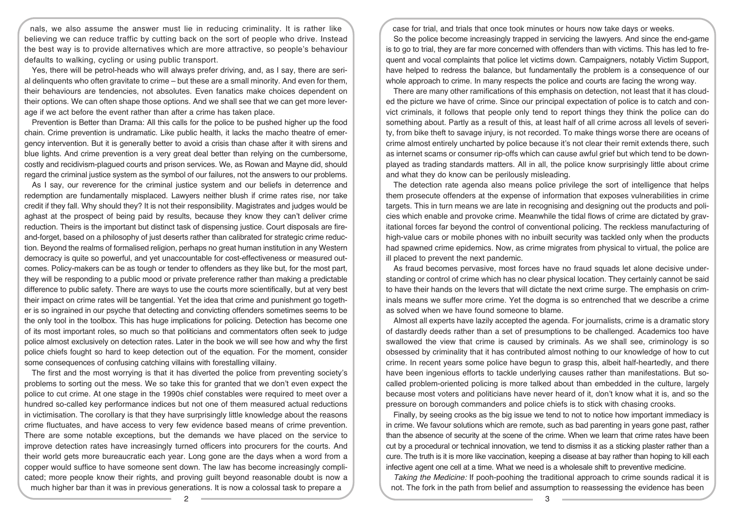nals, we also assume the answer must lie in reducing criminality. It is rather like believing we can reduce traffic by cutting back on the sort of people who drive. Instead the best way is to provide alternatives which are more attractive, so people's behaviour defaults to walking, cycling or using public transport.

Yes, there will be petrol-heads who will always prefer driving, and, as I say, there are serial delinquents who often gravitate to crime – but these are a small minority. And even for them, their behaviours are tendencies, not absolutes. Even fanatics make choices dependent on their options. We can often shape those options. And we shall see that we can get more leverage if we act before the event rather than after a crime has taken place.

Prevention is Better than Drama: All this calls for the police to be pushed higher up the food chain. Crime prevention is undramatic. Like public health, it lacks the macho theatre of emergency intervention. But it is generally better to avoid a crisis than chase after it with sirens and blue lights. And crime prevention is a very great deal better than relying on the cumbersome, costly and recidivism-plagued courts and prison services. We, as Rowan and Mayne did, should regard the criminal justice system as the symbol of our failures, not the answers to our problems.

As I say, our reverence for the criminal justice system and our beliefs in deterrence and redemption are fundamentally misplaced. Lawyers neither blush if crime rates rise, nor take credit if they fall. Why should they? It is not their responsibility. Magistrates and judges would be aghast at the prospect of being paid by results, because they know they can't deliver crime reduction. Theirs is the important but distinct task of dispensing justice. Court disposals are fireand-forget, based on a philosophy of just deserts rather than calibrated for strategic crime reduction. Beyond the realms of formalised religion, perhaps no great human institution in any Western democracy is quite so powerful, and yet unaccountable for cost-effectiveness or measured outcomes. Policy-makers can be as tough or tender to offenders as they like but, for the most part, they will be responding to a public mood or private preference rather than making a predictable difference to public safety. There are ways to use the courts more scientifically, but at very best their impact on crime rates will be tangential. Yet the idea that crime and punishment go together is so ingrained in our psyche that detecting and convicting offenders sometimes seems to be the only tool in the toolbox. This has huge implications for policing. Detection has become one of its most important roles, so much so that politicians and commentators often seek to judge police almost exclusively on detection rates. Later in the book we will see how and why the first police chiefs fought so hard to keep detection out of the equation. For the moment, consider some consequences of confusing catching villains with forestalling villainy.

The first and the most worrying is that it has diverted the police from preventing society's problems to sorting out the mess. We so take this for granted that we don't even expect the police to cut crime. At one stage in the 1990s chief constables were required to meet over a hundred so-called key performance indices but not one of them measured actual reductions in victimisation. The corollary is that they have surprisingly little knowledge about the reasons crime fluctuates, and have access to very few evidence based means of crime prevention. There are some notable exceptions, but the demands we have placed on the service to improve detection rates have increasingly turned officers into procurers for the courts. And their world gets more bureaucratic each year. Long gone are the days when a word from a copper would suffice to have someone sent down. The law has become increasingly complicated; more people know their rights, and proving guilt beyond reasonable doubt is now a much higher bar than it was in previous generations. It is now a colossal task to prepare a

case for trial, and trials that once took minutes or hours now take days or weeks.

So the police become increasingly trapped in servicing the lawyers. And since the end-game is to go to trial, they are far more concerned with offenders than with victims. This has led to frequent and vocal complaints that police let victims down. Campaigners, notably Victim Support, have helped to redress the balance, but fundamentally the problem is a consequence of our whole approach to crime. In many respects the police and courts are facing the wrong way.

There are many other ramifications of this emphasis on detection, not least that it has clouded the picture we have of crime. Since our principal expectation of police is to catch and convict criminals, it follows that people only tend to report things they think the police can do something about. Partly as a result of this, at least half of all crime across all levels of severity, from bike theft to savage injury, is not recorded. To make things worse there are oceans of crime almost entirely uncharted by police because it's not clear their remit extends there, such as internet scams or consumer rip-offs which can cause awful grief but which tend to be downplayed as trading standards matters. All in all, the police know surprisingly little about crime and what they do know can be perilously misleading.

The detection rate agenda also means police privilege the sort of intelligence that helps them prosecute offenders at the expense of information that exposes vulnerabilities in crime targets. This in turn means we are late in recognising and designing out the products and policies which enable and provoke crime. Meanwhile the tidal flows of crime are dictated by gravitational forces far beyond the control of conventional policing. The reckless manufacturing of high-value cars or mobile phones with no inbuilt security was tackled only when the products had spawned crime epidemics. Now, as crime migrates from physical to virtual, the police are ill placed to prevent the next pandemic.

As fraud becomes pervasive, most forces have no fraud squads let alone decisive understanding or control of crime which has no clear physical location. They certainly cannot be said to have their hands on the levers that will dictate the next crime surge. The emphasis on criminals means we suffer more crime. Yet the dogma is so entrenched that we describe a crime as solved when we have found someone to blame.

Almost all experts have lazily accepted the agenda. For journalists, crime is a dramatic story of dastardly deeds rather than a set of presumptions to be challenged. Academics too have swallowed the view that crime is caused by criminals. As we shall see, criminology is so obsessed by criminality that it has contributed almost nothing to our knowledge of how to cut crime. In recent years some police have begun to grasp this, albeit half-heartedly, and there have been ingenious efforts to tackle underlying causes rather than manifestations. But socalled problem-oriented policing is more talked about than embedded in the culture, largely because most voters and politicians have never heard of it, don't know what it is, and so the pressure on borough commanders and police chiefs is to stick with chasing crooks.

Finally, by seeing crooks as the big issue we tend to not to notice how important immediacy is in crime. We favour solutions which are remote, such as bad parenting in years gone past, rather than the absence of security at the scene of the crime. When we learn that crime rates have been cut by a procedural or technical innovation, we tend to dismiss it as a sticking plaster rather than a cure. The truth is it is more like vaccination, keeping a disease at bay rather than hoping to kill each infective agent one cell at a time. What we need is a wholesale shift to preventive medicine.

*Taking the Medicine:* If pooh-poohing the traditional approach to crime sounds radical it is not. The fork in the path from belief and assumption to reassessing the evidence has been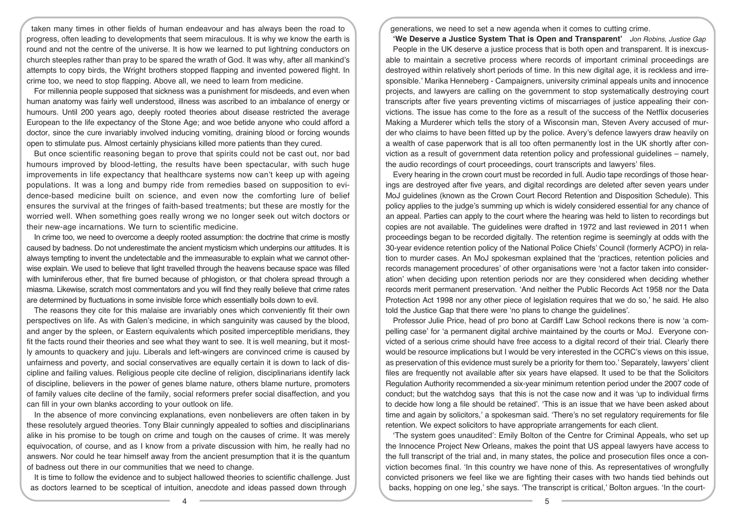taken many times in other fields of human endeavour and has always been the road to progress, often leading to developments that seem miraculous. It is why we know the earth is round and not the centre of the universe. It is how we learned to put lightning conductors on church steeples rather than pray to be spared the wrath of God. It was why, after all mankind's attempts to copy birds, the Wright brothers stopped flapping and invented powered flight. In crime too, we need to stop flapping. Above all, we need to learn from medicine.

For millennia people supposed that sickness was a punishment for misdeeds, and even when human anatomy was fairly well understood, illness was ascribed to an imbalance of energy or humours. Until 200 years ago, deeply rooted theories about disease restricted the average European to the life expectancy of the Stone Age; and woe betide anyone who could afford a doctor, since the cure invariably involved inducing vomiting, draining blood or forcing wounds open to stimulate pus. Almost certainly physicians killed more patients than they cured.

But once scientific reasoning began to prove that spirits could not be cast out, nor bad humours improved by blood-letting, the results have been spectacular, with such huge improvements in life expectancy that healthcare systems now can't keep up with ageing populations. It was a long and bumpy ride from remedies based on supposition to evidence-based medicine built on science, and even now the comforting lure of belief ensures the survival at the fringes of faith-based treatments; but these are mostly for the worried well. When something goes really wrong we no longer seek out witch doctors or their new-age incarnations. We turn to scientific medicine.

In crime too, we need to overcome a deeply rooted assumption: the doctrine that crime is mostly caused by badness. Do not underestimate the ancient mysticism which underpins our attitudes. It is always tempting to invent the undetectable and the immeasurable to explain what we cannot otherwise explain. We used to believe that light travelled through the heavens because space was filled with luminiferous ether, that fire burned because of phlogiston, or that cholera spread through a miasma. Likewise, scratch most commentators and you will find they really believe that crime rates are determined by fluctuations in some invisible force which essentially boils down to evil.

The reasons they cite for this malaise are invariably ones which conveniently fit their own perspectives on life. As with Galen's medicine, in which sanguinity was caused by the blood, and anger by the spleen, or Eastern equivalents which posited imperceptible meridians, they fit the facts round their theories and see what they want to see. It is well meaning, but it mostly amounts to quackery and juju. Liberals and left-wingers are convinced crime is caused by unfairness and poverty, and social conservatives are equally certain it is down to lack of discipline and failing values. Religious people cite decline of religion, disciplinarians identify lack of discipline, believers in the power of genes blame nature, others blame nurture, promoters of family values cite decline of the family, social reformers prefer social disaffection, and you can fill in your own blanks according to your outlook on life.

In the absence of more convincing explanations, even nonbelievers are often taken in by these resolutely argued theories. Tony Blair cunningly appealed to softies and disciplinarians alike in his promise to be tough on crime and tough on the causes of crime. It was merely equivocation, of course, and as I know from a private discussion with him, he really had no answers. Nor could he tear himself away from the ancient presumption that it is the quantum of badness out there in our communities that we need to change.

It is time to follow the evidence and to subject hallowed theories to scientific challenge. Just as doctors learned to be sceptical of intuition, anecdote and ideas passed down through

generations, we need to set a new agenda when it comes to cutting crime.

**'We Deserve a Justice System That is Open and Transparent'** *Jon Robins, Justice Gap* People in the UK deserve a justice process that is both open and transparent. It is inexcusable to maintain a secretive process where records of important criminal proceedings are destroyed within relatively short periods of time. In this new digital age, it is reckless and irresponsible.' Marika Henneberg - Campaigners, university criminal appeals units and innocence projects, and lawyers are calling on the government to stop systematically destroying court transcripts after five years preventing victims of miscarriages of justice appealing their convictions. The issue has come to the fore as a result of the success of the Netflix docuseries Making a Murderer which tells the story of a Wisconsin man, Steven Avery accused of murder who claims to have been fitted up by the police. Avery's defence lawyers draw heavily on a wealth of case paperwork that is all too often permanently lost in the UK shortly after conviction as a result of government data retention policy and professional guidelines – namely, the audio recordings of court proceedings, court transcripts and lawyers' files.

Every hearing in the crown court must be recorded in full. Audio tape recordings of those hearings are destroyed after five years, and digital recordings are deleted after seven years under MoJ guidelines (known as the Crown Court Record Retention and Disposition Schedule). This policy applies to the judge's summing up which is widely considered essential for any chance of an appeal. Parties can apply to the court where the hearing was held to listen to recordings but copies are not available. The guidelines were drafted in 1972 and last reviewed in 2011 when proceedings began to be recorded digitally. The retention regime is seemingly at odds with the 30-year evidence retention policy of the National Police Chiefs' Council (formerly ACPO) in relation to murder cases. An MoJ spokesman explained that the 'practices, retention policies and records management procedures' of other organisations were 'not a factor taken into consideration' when deciding upon retention periods nor are they considered when deciding whether records merit permanent preservation. 'And neither the Public Records Act 1958 nor the Data Protection Act 1998 nor any other piece of legislation requires that we do so,' he said. He also told the Justice Gap that there were 'no plans to change the guidelines'.

Professor Julie Price, head of pro bono at Cardiff Law School reckons there is now 'a compelling case' for 'a permanent digital archive maintained by the courts or MoJ. Everyone convicted of a serious crime should have free access to a digital record of their trial. Clearly there would be resource implications but I would be very interested in the CCRC's views on this issue, as preservation of this evidence must surely be a priority for them too.' Separately, lawyers' client files are frequently not available after six years have elapsed. It used to be that the Solicitors Regulation Authority recommended a six-year minimum retention period under the 2007 code of conduct; but the watchdog says that this is not the case now and it was 'up to individual firms to decide how long a file should be retained'. 'This is an issue that we have been asked about time and again by solicitors,' a spokesman said. 'There's no set regulatory requirements for file retention. We expect solicitors to have appropriate arrangements for each client.

'The system goes unaudited': Emily Bolton of the Centre for Criminal Appeals, who set up the Innocence Project New Orleans, makes the point that US appeal lawyers have access to the full transcript of the trial and, in many states, the police and prosecution files once a conviction becomes final. 'In this country we have none of this. As representatives of wrongfully convicted prisoners we feel like we are fighting their cases with two hands tied behinds out backs, hopping on one leg,' she says. 'The transcript is critical,' Bolton argues. 'In the court-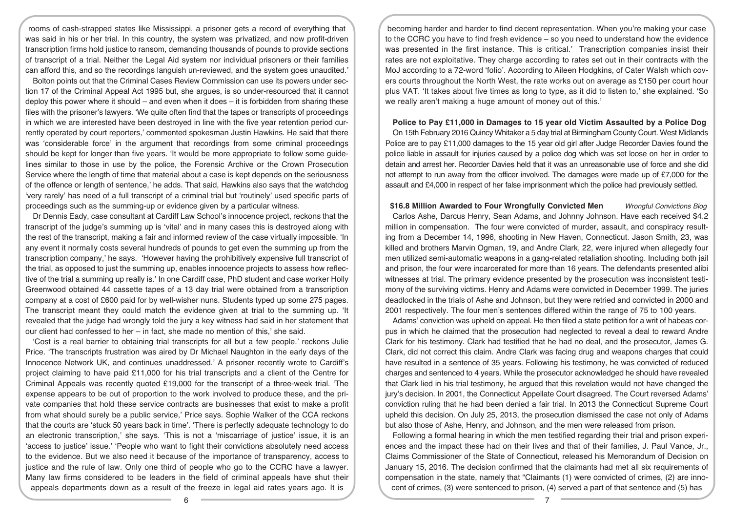rooms of cash-strapped states like Mississippi, a prisoner gets a record of everything that was said in his or her trial. In this country, the system was privatized, and now profit-driven transcription firms hold justice to ransom, demanding thousands of pounds to provide sections of transcript of a trial. Neither the Legal Aid system nor individual prisoners or their families can afford this, and so the recordings languish un-reviewed, and the system goes unaudited.'

Bolton points out that the Criminal Cases Review Commission can use its powers under section 17 of the Criminal Appeal Act 1995 but, she argues, is so under-resourced that it cannot deploy this power where it should – and even when it does – it is forbidden from sharing these files with the prisoner's lawyers. 'We quite often find that the tapes or transcripts of proceedings in which we are interested have been destroyed in line with the five year retention period currently operated by court reporters,' commented spokesman Justin Hawkins. He said that there was 'considerable force' in the argument that recordings from some criminal proceedings should be kept for longer than five years. 'It would be more appropriate to follow some guidelines similar to those in use by the police, the Forensic Archive or the Crown Prosecution Service where the length of time that material about a case is kept depends on the seriousness of the offence or length of sentence,' he adds. That said, Hawkins also says that the watchdog 'very rarely' has need of a full transcript of a criminal trial but 'routinely' used specific parts of proceedings such as the summing-up or evidence given by a particular witness.

Dr Dennis Eady, case consultant at Cardiff Law School's innocence project, reckons that the transcript of the judge's summing up is 'vital' and in many cases this is destroyed along with the rest of the transcript, making a fair and informed review of the case virtually impossible. 'In any event it normally costs several hundreds of pounds to get even the summing up from the transcription company,' he says. 'However having the prohibitively expensive full transcript of the trial, as opposed to just the summing up, enables innocence projects to assess how reflective of the trial a summing up really is.' In one Cardiff case, PhD student and case worker Holly Greenwood obtained 44 cassette tapes of a 13 day trial were obtained from a transcription company at a cost of £600 paid for by well-wisher nuns. Students typed up some 275 pages. The transcript meant they could match the evidence given at trial to the summing up. 'It revealed that the judge had wrongly told the jury a key witness had said in her statement that our client had confessed to her – in fact, she made no mention of this,' she said.

'Cost is a real barrier to obtaining trial transcripts for all but a few people.' reckons Julie Price. 'The transcripts frustration was aired by Dr Michael Naughton in the early days of the Innocence Network UK, and continues unaddressed.' A prisoner recently wrote to Cardiff's project claiming to have paid £11,000 for his trial transcripts and a client of the Centre for Criminal Appeals was recently quoted £19,000 for the transcript of a three-week trial. 'The expense appears to be out of proportion to the work involved to produce these, and the private companies that hold these service contracts are businesses that exist to make a profit from what should surely be a public service,' Price says. Sophie Walker of the CCA reckons that the courts are 'stuck 50 years back in time'. 'There is perfectly adequate technology to do an electronic transcription,' she says. 'This is not a 'miscarriage of justice' issue, it is an 'access to justice' issue.' 'People who want to fight their convictions absolutely need access to the evidence. But we also need it because of the importance of transparency, access to justice and the rule of law. Only one third of people who go to the CCRC have a lawyer. Many law firms considered to be leaders in the field of criminal appeals have shut their appeals departments down as a result of the freeze in legal aid rates years ago. It is

becoming harder and harder to find decent representation. When you're making your case to the CCRC you have to find fresh evidence – so you need to understand how the evidence was presented in the first instance. This is critical.' Transcription companies insist their rates are not exploitative. They charge according to rates set out in their contracts with the MoJ according to a 72-word 'folio'. According to Aileen Hodgkins, of Cater Walsh which covers courts throughout the North West, the rate works out on average as £150 per court hour plus VAT. 'It takes about five times as long to type, as it did to listen to,' she explained. 'So we really aren't making a huge amount of money out of this.'

### **Police to Pay £11,000 in Damages to 15 year old Victim Assaulted by a Police Dog**

On 15th February 2016 Quincy Whitaker a 5 day trial at Birmingham County Court. West Midlands Police are to pay £11,000 damages to the 15 year old girl after Judge Recorder Davies found the police liable in assault for injuries caused by a police dog which was set loose on her in order to detain and arrest her. Recorder Davies held that it was an unreasonable use of force and she did not attempt to run away from the officer involved. The damages were made up of £7,000 for the assault and £4,000 in respect of her false imprisonment which the police had previously settled.

**\$16.8 Million Awarded to Four Wrongfully Convicted Men** *Wrongful Convictions Blog* Carlos Ashe, Darcus Henry, Sean Adams, and Johnny Johnson. Have each received \$4.2 million in compensation. The four were convicted of murder, assault, and conspiracy resulting from a December 14, 1996, shooting in New Haven, Connecticut. Jason Smith, 23, was killed and brothers Marvin Ogman, 19, and Andre Clark, 22, were injured when allegedly four men utilized semi-automatic weapons in a gang-related retaliation shooting. Including both jail and prison, the four were incarcerated for more than 16 years. The defendants presented alibi witnesses at trial. The primary evidence presented by the prosecution was inconsistent testimony of the surviving victims. Henry and Adams were convicted in December 1999. The juries deadlocked in the trials of Ashe and Johnson, but they were retried and convicted in 2000 and 2001 respectively. The four men's sentences differed within the range of 75 to 100 years.

Adams' conviction was upheld on appeal. He then filed a state petition for a writ of habeas corpus in which he claimed that the prosecution had neglected to reveal a deal to reward Andre Clark for his testimony. Clark had testified that he had no deal, and the prosecutor, James G. Clark, did not correct this claim. Andre Clark was facing drug and weapons charges that could have resulted in a sentence of 35 years. Following his testimony, he was convicted of reduced charges and sentenced to 4 years. While the prosecutor acknowledged he should have revealed that Clark lied in his trial testimony, he argued that this revelation would not have changed the jury's decision. In 2001, the Connecticut Appellate Court disagreed. The Court reversed Adams' conviction ruling that he had been denied a fair trial. In 2013 the Connecticut Supreme Court upheld this decision. On July 25, 2013, the prosecution dismissed the case not only of Adams but also those of Ashe, Henry, and Johnson, and the men were released from prison.

Following a formal hearing in which the men testified regarding their trial and prison experiences and the impact these had on their lives and that of their families, J. Paul Vance, Jr., Claims Commissioner of the State of Connecticut, released his Memorandum of Decision on January 15, 2016. The decision confirmed that the claimants had met all six requirements of compensation in the state, namely that "Claimants (1) were convicted of crimes, (2) are innocent of crimes, (3) were sentenced to prison, (4) served a part of that sentence and (5) has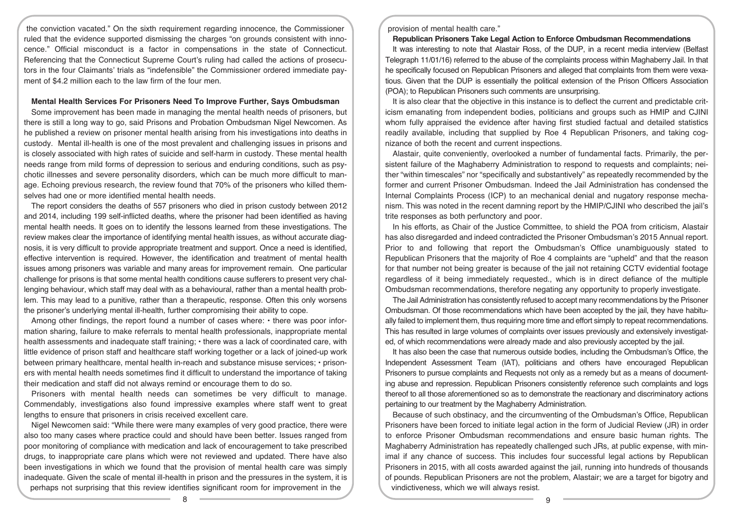the conviction vacated." On the sixth requirement regarding innocence, the Commissioner ruled that the evidence supported dismissing the charges "on grounds consistent with innocence." Official misconduct is a factor in compensations in the state of Connecticut. Referencing that the Connecticut Supreme Court's ruling had called the actions of prosecutors in the four Claimants' trials as "indefensible" the Commissioner ordered immediate payment of \$4.2 million each to the law firm of the four men.

# **Mental Health Services For Prisoners Need To Improve Further, Says Ombudsman**

Some improvement has been made in managing the mental health needs of prisoners, but there is still a long way to go, said Prisons and Probation Ombudsman Nigel Newcomen. As he published a review on prisoner mental health arising from his investigations into deaths in custody. Mental ill-health is one of the most prevalent and challenging issues in prisons and is closely associated with high rates of suicide and self-harm in custody. These mental health needs range from mild forms of depression to serious and enduring conditions, such as psychotic illnesses and severe personality disorders, which can be much more difficult to manage. Echoing previous research, the review found that 70% of the prisoners who killed themselves had one or more identified mental health needs.

The report considers the deaths of 557 prisoners who died in prison custody between 2012 and 2014, including 199 self-inflicted deaths, where the prisoner had been identified as having mental health needs. It goes on to identify the lessons learned from these investigations. The review makes clear the importance of identifying mental health issues, as without accurate diagnosis, it is very difficult to provide appropriate treatment and support. Once a need is identified, effective intervention is required. However, the identification and treatment of mental health issues among prisoners was variable and many areas for improvement remain. One particular challenge for prisons is that some mental health conditions cause sufferers to present very challenging behaviour, which staff may deal with as a behavioural, rather than a mental health problem. This may lead to a punitive, rather than a therapeutic, response. Often this only worsens the prisoner's underlying mental ill-health, further compromising their ability to cope.

Among other findings, the report found a number of cases where: • there was poor information sharing, failure to make referrals to mental health professionals, inappropriate mental health assessments and inadequate staff training;  $\cdot$  there was a lack of coordinated care, with little evidence of prison staff and healthcare staff working together or a lack of joined-up work between primary healthcare, mental health in-reach and substance misuse services; • prisoners with mental health needs sometimes find it difficult to understand the importance of taking their medication and staff did not always remind or encourage them to do so.

Prisoners with mental health needs can sometimes be very difficult to manage. Commendably, investigations also found impressive examples where staff went to great lengths to ensure that prisoners in crisis received excellent care.

Nigel Newcomen said: "While there were many examples of very good practice, there were also too many cases where practice could and should have been better. Issues ranged from poor monitoring of compliance with medication and lack of encouragement to take prescribed drugs, to inappropriate care plans which were not reviewed and updated. There have also been investigations in which we found that the provision of mental health care was simply inadequate. Given the scale of mental ill-health in prison and the pressures in the system, it is perhaps not surprising that this review identifies significant room for improvement in the

provision of mental health care."

### **Republican Prisoners Take Legal Action to Enforce Ombudsman Recommendations**

It was interesting to note that Alastair Ross, of the DUP, in a recent media interview (Belfast Telegraph 11/01/16) referred to the abuse of the complaints process within Maghaberry Jail. In that he specifically focused on Republican Prisoners and alleged that complaints from them were vexatious. Given that the DUP is essentially the political extension of the Prison Officers Association (POA); to Republican Prisoners such comments are unsurprising.

It is also clear that the objective in this instance is to deflect the current and predictable criticism emanating from independent bodies, politicians and groups such as HMIP and CJINI whom fully appraised the evidence after having first studied factual and detailed statistics readily available, including that supplied by Roe 4 Republican Prisoners, and taking cognizance of both the recent and current inspections.

Alastair, quite conveniently, overlooked a number of fundamental facts. Primarily, the persistent failure of the Maghaberry Administration to respond to requests and complaints; neither "within timescales" nor "specifically and substantively" as repeatedly recommended by the former and current Prisoner Ombudsman. Indeed the Jail Administration has condensed the Internal Complaints Process (ICP) to an mechanical denial and nugatory response mechanism. This was noted in the recent damning report by the HMIP/CJINI who described the jail's trite responses as both perfunctory and poor.

In his efforts, as Chair of the Justice Committee, to shield the POA from criticism, Alastair has also disregarded and indeed contradicted the Prisoner Ombudsman's 2015 Annual report. Prior to and following that report the Ombudsman's Office unambiguously stated to Republican Prisoners that the majority of Roe 4 complaints are "upheld" and that the reason for that number not being greater is because of the jail not retaining CCTV evidential footage regardless of it being immediately requested., which is in direct defiance of the multiple Ombudsman recommendations, therefore negating any opportunity to properly investigate.

The Jail Administration has consistently refused to accept many recommendations by the Prisoner Ombudsman. Of those recommendations which have been accepted by the jail, they have habitually failed to implement them, thus requiring more time and effort simply to repeat recommendations. This has resulted in large volumes of complaints over issues previously and extensively investigated, of which recommendations were already made and also previously accepted by the jail.

It has also been the case that numerous outside bodies, including the Ombudsman's Office, the Independent Assessment Team (IAT), politicians and others have encouraged Republican Prisoners to pursue complaints and Requests not only as a remedy but as a means of documenting abuse and repression. Republican Prisoners consistently reference such complaints and logs thereof to all those aforementioned so as to demonstrate the reactionary and discriminatory actions pertaining to our treatment by the Maghaberry Administration.

Because of such obstinacy, and the circumventing of the Ombudsman's Office, Republican Prisoners have been forced to initiate legal action in the form of Judicial Review (JR) in order to enforce Prisoner Ombudsman recommendations and ensure basic human rights. The Maghaberry Administration has repeatedly challenged such JRs, at public expense, with minimal if any chance of success. This includes four successful legal actions by Republican Prisoners in 2015, with all costs awarded against the jail, running into hundreds of thousands of pounds. Republican Prisoners are not the problem, Alastair; we are a target for bigotry and vindictiveness, which we will always resist.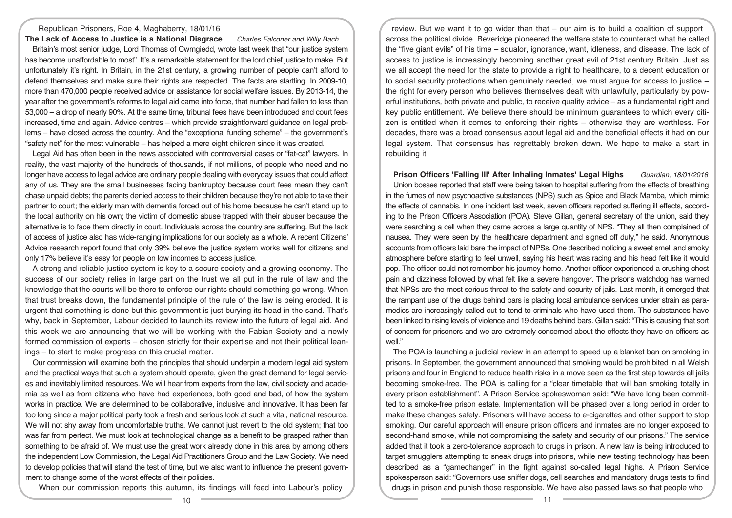# Republican Prisoners, Roe 4, Maghaberry, 18/01/16

**The Lack of Access to Justice is a National Disgrace** *Charles Falconer and Willy Bach* Britain's most senior judge, Lord Thomas of Cwmgiedd, wrote last week that "our justice system has become unaffordable to most". It's a remarkable statement for the lord chief justice to make. But unfortunately it's right. In Britain, in the 21st century, a growing number of people can't afford to defend themselves and make sure their rights are respected. The facts are startling. In 2009-10, more than 470,000 people received advice or assistance for social welfare issues. By 2013-14, the year after the government's reforms to legal aid came into force, that number had fallen to less than 53,000 – a drop of nearly 90%. At the same time, tribunal fees have been introduced and court fees increased, time and again. Advice centres – which provide straightforward guidance on legal problems – have closed across the country. And the "exceptional funding scheme" – the government's "safety net" for the most vulnerable – has helped a mere eight children since it was created.

Legal Aid has often been in the news associated with controversial cases or "fat-cat" lawyers. In reality, the vast majority of the hundreds of thousands, if not millions, of people who need and no longer have access to legal advice are ordinary people dealing with everyday issues that could affect any of us. They are the small businesses facing bankruptcy because court fees mean they can't chase unpaid debts; the parents denied access to their children because they're not able to take their partner to court; the elderly man with dementia forced out of his home because he can't stand up to the local authority on his own; the victim of domestic abuse trapped with their abuser because the alternative is to face them directly in court. Individuals across the country are suffering. But the lack of access of justice also has wide-ranging implications for our society as a whole. A recent Citizens' Advice research report found that only 39% believe the justice system works well for citizens and only 17% believe it's easy for people on low incomes to access justice.

A strong and reliable justice system is key to a secure society and a growing economy. The success of our society relies in large part on the trust we all put in the rule of law and the knowledge that the courts will be there to enforce our rights should something go wrong. When that trust breaks down, the fundamental principle of the rule of the law is being eroded. It is urgent that something is done but this government is just burying its head in the sand. That's why, back in September, Labour decided to launch its review into the future of legal aid. And this week we are announcing that we will be working with the Fabian Society and a newly formed commission of experts – chosen strictly for their expertise and not their political leanings – to start to make progress on this crucial matter.

Our commission will examine both the principles that should underpin a modern legal aid system and the practical ways that such a system should operate, given the great demand for legal services and inevitably limited resources. We will hear from experts from the law, civil society and academia as well as from citizens who have had experiences, both good and bad, of how the system works in practice. We are determined to be collaborative, inclusive and innovative. It has been far too long since a major political party took a fresh and serious look at such a vital, national resource. We will not shy away from uncomfortable truths. We cannot just revert to the old system; that too was far from perfect. We must look at technological change as a benefit to be grasped rather than something to be afraid of. We must use the great work already done in this area by among others the independent Low Commission, the Legal Aid Practitioners Group and the Law Society. We need to develop policies that will stand the test of time, but we also want to influence the present government to change some of the worst effects of their policies.

When our commission reports this autumn, its findings will feed into Labour's policy

review. But we want it to go wider than that – our aim is to build a coalition of support across the political divide. Beveridge pioneered the welfare state to counteract what he called the "five giant evils" of his time – squalor, ignorance, want, idleness, and disease. The lack of access to justice is increasingly becoming another great evil of 21st century Britain. Just as we all accept the need for the state to provide a right to healthcare, to a decent education or to social security protections when genuinely needed, we must argue for access to justice – the right for every person who believes themselves dealt with unlawfully, particularly by powerful institutions, both private and public, to receive quality advice – as a fundamental right and key public entitlement. We believe there should be minimum guarantees to which every citizen is entitled when it comes to enforcing their rights – otherwise they are worthless. For decades, there was a broad consensus about legal aid and the beneficial effects it had on our legal system. That consensus has regrettably broken down. We hope to make a start in rebuilding it.

**Prison Officers 'Falling Ill' After Inhaling Inmates' Legal Highs** *Guardian, 18/01/2016* Union bosses reported that staff were being taken to hospital suffering from the effects of breathing in the fumes of new psychoactive substances (NPS) such as Spice and Black Mamba, which mimic the effects of cannabis. In one incident last week, seven officers reported suffering ill effects, according to the Prison Officers Association (POA). Steve Gillan, general secretary of the union, said they were searching a cell when they came across a large quantity of NPS. "They all then complained of nausea. They were seen by the healthcare department and signed off duty," he said. Anonymous accounts from officers laid bare the impact of NPSs. One described noticing a sweet smell and smoky atmosphere before starting to feel unwell, saying his heart was racing and his head felt like it would pop. The officer could not remember his journey home. Another officer experienced a crushing chest pain and dizziness followed by what felt like a severe hangover. The prisons watchdog has warned that NPSs are the most serious threat to the safety and security of jails. Last month, it emerged that the rampant use of the drugs behind bars is placing local ambulance services under strain as paramedics are increasingly called out to tend to criminals who have used them. The substances have been linked to rising levels of violence and 19 deaths behind bars. Gillan said: "This is causing that sort of concern for prisoners and we are extremely concerned about the effects they have on officers as well."

The POA is launching a judicial review in an attempt to speed up a blanket ban on smoking in prisons. In September, the government announced that smoking would be prohibited in all Welsh prisons and four in England to reduce health risks in a move seen as the first step towards all jails becoming smoke-free. The POA is calling for a "clear timetable that will ban smoking totally in every prison establishment". A Prison Service spokeswoman said: "We have long been committed to a smoke-free prison estate. Implementation will be phased over a long period in order to make these changes safely. Prisoners will have access to e-cigarettes and other support to stop smoking. Our careful approach will ensure prison officers and inmates are no longer exposed to second-hand smoke, while not compromising the safety and security of our prisons." The service added that it took a zero-tolerance approach to drugs in prison. A new law is being introduced to target smugglers attempting to sneak drugs into prisons, while new testing technology has been described as a "gamechanger" in the fight against so-called legal highs. A Prison Service spokesperson said: "Governors use sniffer dogs, cell searches and mandatory drugs tests to find drugs in prison and punish those responsible. We have also passed laws so that people who

 $\overline{10}$   $\overline{11}$   $\overline{11}$   $\overline{11}$   $\overline{11}$   $\overline{11}$   $\overline{11}$   $\overline{11}$   $\overline{11}$   $\overline{11}$   $\overline{11}$   $\overline{11}$   $\overline{11}$   $\overline{11}$   $\overline{11}$   $\overline{11}$   $\overline{11}$   $\overline{11}$   $\overline{11}$   $\overline{11}$   $\overline{11}$   $\overline{11}$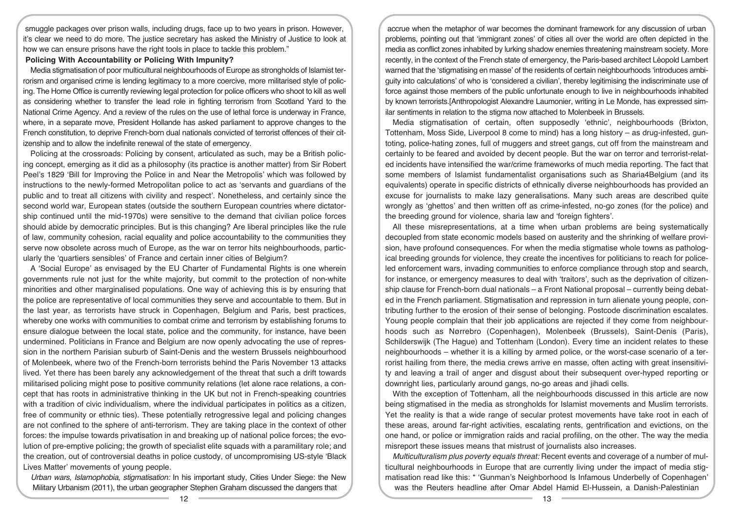smuggle packages over prison walls, including drugs, face up to two years in prison. However, it's clear we need to do more. The justice secretary has asked the Ministry of Justice to look at how we can ensure prisons have the right tools in place to tackle this problem."

# **Policing With Accountability or Policing With Impunity?**

Media stigmatisation of poor multicultural neighbourhoods of Europe as strongholds of Islamist terrorism and organised crime is lending legitimacy to a more coercive, more militarised style of policing. The Home Office is currently reviewing legal protection for police officers who shoot to kill as well as considering whether to transfer the lead role in fighting terrorism from Scotland Yard to the National Crime Agency. And a review of the rules on the use of lethal force is underway in France, where, in a separate move, President Hollande has asked parliament to approve changes to the French constitution, to deprive French-born dual nationals convicted of terrorist offences of their citizenship and to allow the indefinite renewal of the state of emergency.

Policing at the crossroads: Policing by consent, articulated as such, may be a British policing concept, emerging as it did as a philosophy (its practice is another matter) from Sir Robert Peel's 1829 'Bill for Improving the Police in and Near the Metropolis' which was followed by instructions to the newly-formed Metropolitan police to act as 'servants and guardians of the public and to treat all citizens with civility and respect'. Nonetheless, and certainly since the second world war, European states (outside the southern European countries where dictatorship continued until the mid-1970s) were sensitive to the demand that civilian police forces should abide by democratic principles. But is this changing? Are liberal principles like the rule of law, community cohesion, racial equality and police accountability to the communities they serve now obsolete across much of Europe, as the war on terror hits neighbourhoods, particularly the 'quartiers sensibles' of France and certain inner cities of Belgium?

A 'Social Europe' as envisaged by the EU Charter of Fundamental Rights is one wherein governments rule not just for the white majority, but commit to the protection of non-white minorities and other marginalised populations. One way of achieving this is by ensuring that the police are representative of local communities they serve and accountable to them. But in the last year, as terrorists have struck in Copenhagen, Belgium and Paris, best practices, whereby one works with communities to combat crime and terrorism by establishing forums to ensure dialogue between the local state, police and the community, for instance, have been undermined. Politicians in France and Belgium are now openly advocating the use of repression in the northern Parisian suburb of Saint-Denis and the western Brussels neighbourhood of Molenbeek, where two of the French-born terrorists behind the Paris November 13 attacks lived. Yet there has been barely any acknowledgement of the threat that such a drift towards militarised policing might pose to positive community relations (let alone race relations, a concept that has roots in administrative thinking in the UK but not in French-speaking countries with a tradition of civic individualism, where the individual participates in politics as a citizen, free of community or ethnic ties). These potentially retrogressive legal and policing changes are not confined to the sphere of anti-terrorism. They are taking place in the context of other forces: the impulse towards privatisation in and breaking up of national police forces; the evolution of pre-emptive policing; the growth of specialist elite squads with a paramilitary role; and the creation, out of controversial deaths in police custody, of uncompromising US-style 'Black Lives Matter' movements of young people.

*Urban wars, Islamophobia, stigmatisation:* In his important study, Cities Under Siege: the New Military Urbanism (2011), the urban geographer Stephen Graham discussed the dangers that

accrue when the metaphor of war becomes the dominant framework for any discussion of urban problems, pointing out that 'immigrant zones' of cities all over the world are often depicted in the media as conflict zones inhabited by lurking shadow enemies threatening mainstream society. More recently, in the context of the French state of emergency, the Paris-based architect Léopold Lambert warned that the 'stigmatising en masse' of the residents of certain neighbourhoods 'introduces ambiguity into calculations' of who is 'considered a civilian', thereby legitimising the indiscriminate use of force against those members of the public unfortunate enough to live in neighbourhoods inhabited by known terrorists.[Anthropologist Alexandre Laumonier, writing in Le Monde, has expressed similar sentiments in relation to the stigma now attached to Molenbeek in Brussels.

Media stigmatisation of certain, often supposedly 'ethnic', neighbourhoods (Brixton, Tottenham, Moss Side, Liverpool 8 come to mind) has a long history – as drug-infested, guntoting, police-hating zones, full of muggers and street gangs, cut off from the mainstream and certainly to be feared and avoided by decent people. But the war on terror and terrorist-related incidents have intensified the war/crime frameworks of much media reporting. The fact that some members of Islamist fundamentalist organisations such as Sharia4Belgium (and its equivalents) operate in specific districts of ethnically diverse neighbourhoods has provided an excuse for journalists to make lazy generalisations. Many such areas are described quite wrongly as 'ghettos' and then written off as crime-infested, no-go zones (for the police) and the breeding ground for violence, sharia law and 'foreign fighters'.

All these misrepresentations, at a time when urban problems are being systematically decoupled from state economic models based on austerity and the shrinking of welfare provision, have profound consequences. For when the media stigmatise whole towns as pathological breeding grounds for violence, they create the incentives for politicians to reach for policeled enforcement wars, invading communities to enforce compliance through stop and search, for instance, or emergency measures to deal with 'traitors', such as the deprivation of citizenship clause for French-born dual nationals – a Front National proposal – currently being debated in the French parliament. Stigmatisation and repression in turn alienate young people, contributing further to the erosion of their sense of belonging. Postcode discrimination escalates. Young people complain that their job applications are rejected if they come from neighbourhoods such as Nørrebro (Copenhagen), Molenbeek (Brussels), Saint-Denis (Paris), Schilderswijk (The Hague) and Tottenham (London). Every time an incident relates to these neighbourhoods – whether it is a killing by armed police, or the worst-case scenario of a terrorist hailing from there, the media crews arrive en masse, often acting with great insensitivity and leaving a trail of anger and disgust about their subsequent over-hyped reporting or downright lies, particularly around gangs, no-go areas and jihadi cells.

With the exception of Tottenham, all the neighbourhoods discussed in this article are now being stigmatised in the media as strongholds for Islamist movements and Muslim terrorists. Yet the reality is that a wide range of secular protest movements have take root in each of these areas, around far-right activities, escalating rents, gentrification and evictions, on the one hand, or police or immigration raids and racial profiling, on the other. The way the media misreport these issues means that mistrust of journalists also increases.

*Multiculturalism plus poverty equals threat:* Recent events and coverage of a number of multicultural neighbourhoods in Europe that are currently living under the impact of media stigmatisation read like this: \* 'Gunman's Neighborhood Is Infamous Underbelly of Copenhagen' was the Reuters headline after Omar Abdel Hamid El-Hussein, a Danish-Palestinian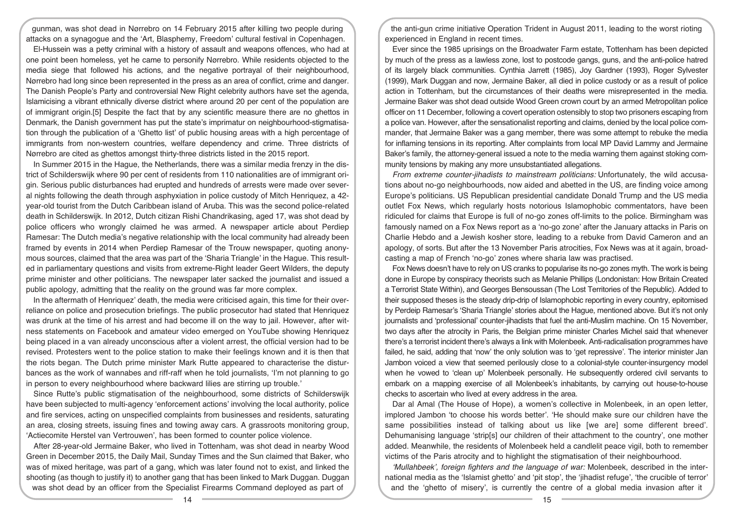gunman, was shot dead in Nørrebro on 14 February 2015 after killing two people during attacks on a synagogue and the 'Art, Blasphemy, Freedom' cultural festival in Copenhagen.

El-Hussein was a petty criminal with a history of assault and weapons offences, who had at one point been homeless, yet he came to personify Nørrebro. While residents objected to the media siege that followed his actions, and the negative portrayal of their neighbourhood, Nørrebro had long since been represented in the press as an area of conflict, crime and danger. The Danish People's Party and controversial New Right celebrity authors have set the agenda, Islamicising a vibrant ethnically diverse district where around 20 per cent of the population are of immigrant origin.[5] Despite the fact that by any scientific measure there are no ghettos in Denmark, the Danish government has put the state's imprimatur on neighbourhood-stigmatisation through the publication of a 'Ghetto list' of public housing areas with a high percentage of immigrants from non-western countries, welfare dependency and crime. Three districts of Nørrebro are cited as ghettos amongst thirty-three districts listed in the 2015 report.

In Summer 2015 in the Hague, the Netherlands, there was a similar media frenzy in the district of Schilderswijk where 90 per cent of residents from 110 nationalities are of immigrant origin. Serious public disturbances had erupted and hundreds of arrests were made over several nights following the death through asphyxiation in police custody of Mitch Henriquez, a 42 year-old tourist from the Dutch Caribbean island of Aruba. This was the second police-related death in Schilderswijk. In 2012, Dutch citizan Rishi Chandrikasing, aged 17, was shot dead by police officers who wrongly claimed he was armed. A newspaper article about Perdiep Ramesar: The Dutch media's negative relationship with the local community had already been framed by events in 2014 when Perdiep Ramesar of the Trouw newspaper, quoting anonymous sources, claimed that the area was part of the 'Sharia Triangle' in the Hague. This resulted in parliamentary questions and visits from extreme-Right leader Geert Wilders, the deputy prime minister and other politicians. The newspaper later sacked the journalist and issued a public apology, admitting that the reality on the ground was far more complex.

In the aftermath of Henriquez' death, the media were criticised again, this time for their overreliance on police and prosecution briefings. The public prosecutor had stated that Henriquez was drunk at the time of his arrest and had become ill on the way to jail. However, after witness statements on Facebook and amateur video emerged on YouTube showing Henriquez being placed in a van already unconscious after a violent arrest, the official version had to be revised. Protesters went to the police station to make their feelings known and it is then that the riots began. The Dutch prime minister Mark Rutte appeared to characterise the disturbances as the work of wannabes and riff-raff when he told journalists, 'I'm not planning to go in person to every neighbourhood where backward lilies are stirring up trouble.'

Since Rutte's public stigmatisation of the neighbourhood, some districts of Schilderswijk have been subjected to multi-agency 'enforcement actions' involving the local authority, police and fire services, acting on unspecified complaints from businesses and residents, saturating an area, closing streets, issuing fines and towing away cars. A grassroots monitoring group, 'Actiecomite Herstel van Vertrouwen', has been formed to counter police violence.

After 28-year-old Jermaine Baker, who lived in Tottenham, was shot dead in nearby Wood Green in December 2015, the Daily Mail, Sunday Times and the Sun claimed that Baker, who was of mixed heritage, was part of a gang, which was later found not to exist, and linked the shooting (as though to justify it) to another gang that has been linked to Mark Duggan. Duggan was shot dead by an officer from the Specialist Firearms Command deployed as part of

the anti-gun crime initiative Operation Trident in August 2011, leading to the worst rioting experienced in England in recent times.

Ever since the 1985 uprisings on the Broadwater Farm estate, Tottenham has been depicted by much of the press as a lawless zone, lost to postcode gangs, guns, and the anti-police hatred of its largely black communities. Cynthia Jarrett (1985), Joy Gardner (1993), Roger Sylvester (1999), Mark Duggan and now, Jermaine Baker, all died in police custody or as a result of police action in Tottenham, but the circumstances of their deaths were misrepresented in the media. Jermaine Baker was shot dead outside Wood Green crown court by an armed Metropolitan police officer on 11 December, following a covert operation ostensibly to stop two prisoners escaping from a police van. However, after the sensationalist reporting and claims, denied by the local police commander, that Jermaine Baker was a gang member, there was some attempt to rebuke the media for inflaming tensions in its reporting. After complaints from local MP David Lammy and Jermaine Baker's family, the attorney-general issued a note to the media warning them against stoking community tensions by making any more unsubstantiated allegations.

*From extreme counter-jihadists to mainstream politicians:* Unfortunately, the wild accusations about no-go neighbourhoods, now aided and abetted in the US, are finding voice among Europe's politicians. US Republican presidential candidate Donald Trump and the US media outlet Fox News, which regularly hosts notorious Islamophobic commentators, have been ridiculed for claims that Europe is full of no-go zones off-limits to the police. Birmingham was famously named on a Fox News report as a 'no-go zone' after the January attacks in Paris on Charlie Hebdo and a Jewish kosher store, leading to a rebuke from David Cameron and an apology, of sorts. But after the 13 November Paris atrocities, Fox News was at it again, broadcasting a map of French 'no-go' zones where sharia law was practised.

Fox News doesn't have to rely on US cranks to popularise its no-go zones myth. The work is being done in Europe by conspiracy theorists such as Melanie Phillips (Londonistan: How Britain Created a Terrorist State Within), and Georges Bensoussan (The Lost Territories of the Republic). Added to their supposed theses is the steady drip-drip of Islamophobic reporting in every country, epitomised by Perdeip Ramesar's 'Sharia Triangle' stories about the Hague, mentioned above. But it's not only journalists and 'professional' counter-jihadists that fuel the anti-Muslim machine. On 15 November, two days after the atrocity in Paris, the Belgian prime minister Charles Michel said that whenever there's a terrorist incident there's always a link with Molenbeek. Anti-radicalisation programmes have failed, he said, adding that 'now' the only solution was to 'get repressive'. The interior minister Jan Jambon voiced a view that seemed perilously close to a colonial-style counter-insurgency model when he vowed to 'clean up' Molenbeek personally. He subsequently ordered civil servants to embark on a mapping exercise of all Molenbeek's inhabitants, by carrying out house-to-house checks to ascertain who lived at every address in the area.

Dar al Amal (The House of Hope), a women's collective in Molenbeek, in an open letter, implored Jambon 'to choose his words better'. 'He should make sure our children have the same possibilities instead of talking about us like [we are] some different breed'. Dehumanising language 'strip[s] our children of their attachment to the country', one mother added. Meanwhile, the residents of Molenbeek held a candlelit peace vigil, both to remember victims of the Paris atrocity and to highlight the stigmatisation of their neighbourhood.

*'Mullahbeek', foreign fighters and the language of war:* Molenbeek, described in the international media as the 'Islamist ghetto' and 'pit stop', the 'iihadist refuge', 'the crucible of terror' and the 'ghetto of misery', is currently the centre of a global media invasion after it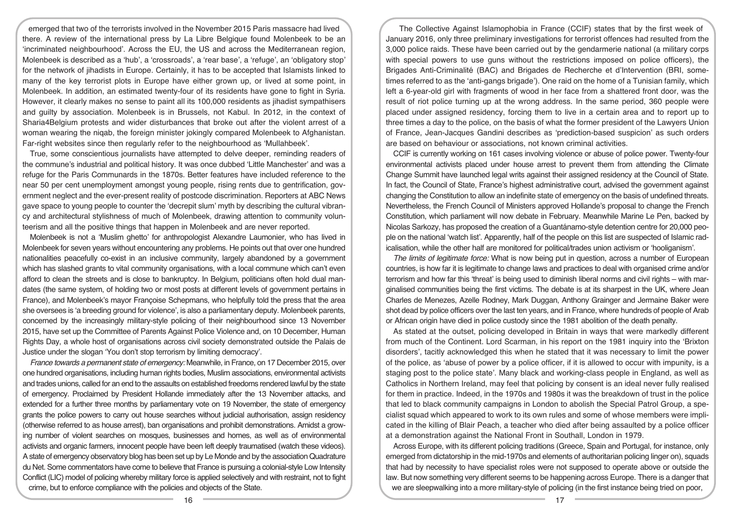emerged that two of the terrorists involved in the November 2015 Paris massacre had lived there. A review of the international press by La Libre Belgique found Molenbeek to be an 'incriminated neighbourhood'. Across the EU, the US and across the Mediterranean region, Molenbeek is described as a 'hub', a 'crossroads', a 'rear base', a 'refuge', an 'obligatory stop' for the network of jihadists in Europe. Certainly, it has to be accepted that Islamists linked to many of the key terrorist plots in Europe have either grown up, or lived at some point, in Molenbeek. In addition, an estimated twenty-four of its residents have gone to fight in Syria. However, it clearly makes no sense to paint all its 100,000 residents as jihadist sympathisers and guilty by association. Molenbeek is in Brussels, not Kabul. In 2012, in the context of Sharia4Belgium protests and wider disturbances that broke out after the violent arrest of a woman wearing the niqab, the foreign minister jokingly compared Molenbeek to Afghanistan. Far-right websites since then regularly refer to the neighbourhood as 'Mullahbeek'.

True, some conscientious journalists have attempted to delve deeper, reminding readers of the commune's industrial and political history. It was once dubbed 'Little Manchester' and was a refuge for the Paris Communards in the 1870s. Better features have included reference to the near 50 per cent unemployment amongst young people, rising rents due to gentrification, government neglect and the ever-present reality of postcode discrimination. Reporters at ABC News gave space to young people to counter the 'decrepit slum' myth by describing the cultural vibrancy and architectural stylishness of much of Molenbeek, drawing attention to community volunteerism and all the positive things that happen in Molenbeek and are never reported.

Molenbeek is not a 'Muslim ghetto' for anthropologist Alexandre Laumonier, who has lived in Molenbeek for seven years without encountering any problems. He points out that over one hundred nationalities peacefully co-exist in an inclusive community, largely abandoned by a government which has slashed grants to vital community organisations, with a local commune which can't even afford to clean the streets and is close to bankruptcy. In Belgium, politicians often hold dual mandates (the same system, of holding two or most posts at different levels of government pertains in France), and Molenbeek's mayor Françoise Schepmans, who helpfully told the press that the area she oversees is 'a breeding ground for violence', is also a parliamentary deputy. Molenbeek parents, concerned by the increasingly military-style policing of their neighbourhood since 13 November 2015, have set up the Committee of Parents Against Police Violence and, on 10 December, Human Rights Day, a whole host of organisations across civil society demonstrated outside the Palais de Justice under the slogan 'You don't stop terrorism by limiting democracy'.

*France towards a permanent state of emergency:* Meanwhile, in France, on 17 December 2015, over one hundred organisations, including human rights bodies, Muslim associations, environmental activists and trades unions, called for an end to the assaults on established freedoms rendered lawful by the state of emergency. Proclaimed by President Hollande immediately after the 13 November attacks, and extended for a further three months by parliamentary vote on 19 November, the state of emergency grants the police powers to carry out house searches without judicial authorisation, assign residency (otherwise referred to as house arrest), ban organisations and prohibit demonstrations. Amidst a growing number of violent searches on mosques, businesses and homes, as well as of environmental activists and organic farmers, innocent people have been left deeply traumatised (watch these videos). Astate of emergency observatory blog has been set up by Le Monde and by the association Quadrature du Net. Some commentators have come to believe that France is pursuing a colonial-style Low Intensity Conflict (LIC) model of policing whereby military force is applied selectively and with restraint, not to fight crime, but to enforce compliance with the policies and objects of the State.

The Collective Against Islamophobia in France (CCIF) states that by the first week of January 2016, only three preliminary investigations for terrorist offences had resulted from the 3,000 police raids. These have been carried out by the gendarmerie national (a military corps with special powers to use guns without the restrictions imposed on police officers), the Brigades Anti-Criminalité (BAC) and Brigades de Recherche et d'Intervention (BRI, sometimes referred to as the 'anti-gangs brigade'). One raid on the home of a Tunisian family, which left a 6-year-old girl with fragments of wood in her face from a shattered front door, was the result of riot police turning up at the wrong address. In the same period, 360 people were placed under assigned residency, forcing them to live in a certain area and to report up to three times a day to the police, on the basis of what the former president of the Lawyers Union of France, Jean-Jacques Gandini describes as 'prediction-based suspicion' as such orders are based on behaviour or associations, not known criminal activities.

CCIF is currently working on 161 cases involving violence or abuse of police power. Twenty-four environmental activists placed under house arrest to prevent them from attending the Climate Change Summit have launched legal writs against their assigned residency at the Council of State. In fact, the Council of State, France's highest administrative court, advised the government against changing the Constitution to allow an indefinite state of emergency on the basis of undefined threats. Nevertheless, the French Council of Ministers approved Hollande's proposal to change the French Constitution, which parliament will now debate in February. Meanwhile Marine Le Pen, backed by Nicolas Sarkozy, has proposed the creation of a Guantánamo-style detention centre for 20,000 people on the national 'watch list'. Apparently, half of the people on this list are suspected of Islamic radicalisation, while the other half are monitored for political/trades union activism or 'hooliganism'.

*The limits of legitimate force:* What is now being put in question, across a number of European countries, is how far it is legitimate to change laws and practices to deal with organised crime and/or terrorism and how far this 'threat' is being used to diminish liberal norms and civil rights – with marginalised communities being the first victims. The debate is at its sharpest in the UK, where Jean Charles de Menezes, Azelle Rodney, Mark Duggan, Anthony Grainger and Jermaine Baker were shot dead by police officers over the last ten years, and in France, where hundreds of people of Arab or African origin have died in police custody since the 1981 abolition of the death penalty.

As stated at the outset, policing developed in Britain in ways that were markedly different from much of the Continent. Lord Scarman, in his report on the 1981 inquiry into the 'Brixton disorders', tacitly acknowledged this when he stated that it was necessary to limit the power of the police, as 'abuse of power by a police officer, if it is allowed to occur with impunity, is a staging post to the police state'. Many black and working-class people in England, as well as Catholics in Northern Ireland, may feel that policing by consent is an ideal never fully realised for them in practice. Indeed, in the 1970s and 1980s it was the breakdown of trust in the police that led to black community campaigns in London to abolish the Special Patrol Group, a specialist squad which appeared to work to its own rules and some of whose members were implicated in the killing of Blair Peach, a teacher who died after being assaulted by a police officer at a demonstration against the National Front in Southall, London in 1979.

Across Europe, with its different policing traditions (Greece, Spain and Portugal, for instance, only emerged from dictatorship in the mid-1970s and elements of authoritarian policing linger on), squads that had by necessity to have specialist roles were not supposed to operate above or outside the law. But now something very different seems to be happening across Europe. There is a danger that we are sleepwalking into a more military-style of policing (in the first instance being tried on poor,